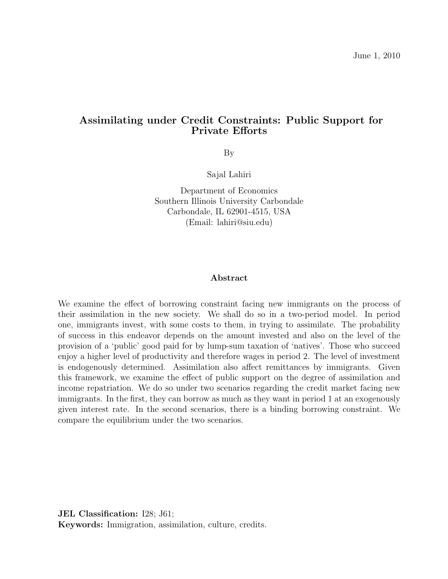### Assimilating under Credit Constraints: Public Support for Private Efforts

By

Sajal Lahiri

Department of Economics Southern Illinois University Carbondale Carbondale, IL 62901-4515, USA (Email: lahiri@siu.edu)

#### Abstract

We examine the effect of borrowing constraint facing new immigrants on the process of their assimilation in the new society. We shall do so in a two-period model. In period one, immigrants invest, with some costs to them, in trying to assimilate. The probability of success in this endeavor depends on the amount invested and also on the level of the provision of a 'public' good paid for by lump-sum taxation of 'natives'. Those who succeed enjoy a higher level of productivity and therefore wages in period 2. The level of investment is endogenously determined. Assimilation also affect remittances by immigrants. Given this framework, we examine the effect of public support on the degree of assimilation and income repatriation. We do so under two scenarios regarding the credit market facing new immigrants. In the first, they can borrow as much as they want in period 1 at an exogenously given interest rate. In the second scenarios, there is a binding borrowing constraint. We compare the equilibrium under the two scenarios.

JEL Classification: I28; J61; Keywords: Immigration, assimilation, culture, credits.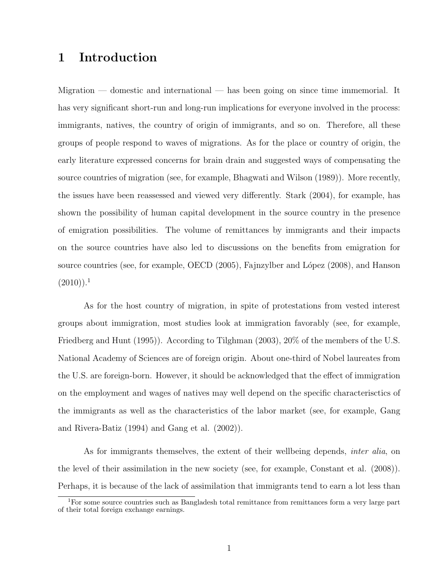# 1 Introduction

Migration — domestic and international — has been going on since time immemorial. It has very significant short-run and long-run implications for everyone involved in the process: immigrants, natives, the country of origin of immigrants, and so on. Therefore, all these groups of people respond to waves of migrations. As for the place or country of origin, the early literature expressed concerns for brain drain and suggested ways of compensating the source countries of migration (see, for example, Bhagwati and Wilson (1989)). More recently, the issues have been reassessed and viewed very differently. Stark (2004), for example, has shown the possibility of human capital development in the source country in the presence of emigration possibilities. The volume of remittances by immigrants and their impacts on the source countries have also led to discussions on the benefits from emigration for source countries (see, for example, OECD (2005), Fajnzylber and López (2008), and Hanson  $(2010)$ ).<sup>1</sup>

As for the host country of migration, in spite of protestations from vested interest groups about immigration, most studies look at immigration favorably (see, for example, Friedberg and Hunt (1995)). According to Tilghman (2003), 20% of the members of the U.S. National Academy of Sciences are of foreign origin. About one-third of Nobel laureates from the U.S. are foreign-born. However, it should be acknowledged that the effect of immigration on the employment and wages of natives may well depend on the specific characterisctics of the immigrants as well as the characteristics of the labor market (see, for example, Gang and Rivera-Batiz (1994) and Gang et al. (2002)).

As for immigrants themselves, the extent of their wellbeing depends, inter alia, on the level of their assimilation in the new society (see, for example, Constant et al. (2008)). Perhaps, it is because of the lack of assimilation that immigrants tend to earn a lot less than

<sup>&</sup>lt;sup>1</sup>For some source countries such as Bangladesh total remittance from remittances form a very large part of their total foreign exchange earnings.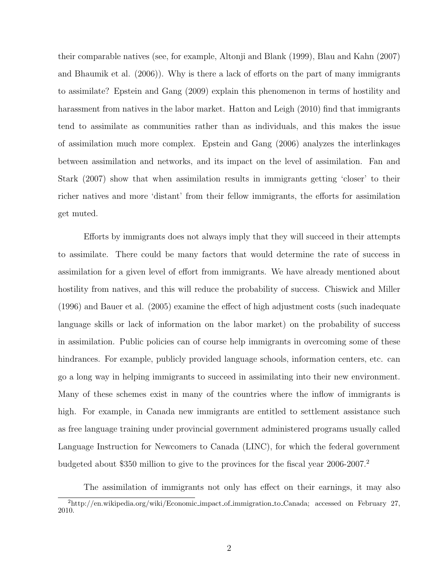their comparable natives (see, for example, Altonji and Blank (1999), Blau and Kahn (2007) and Bhaumik et al. (2006)). Why is there a lack of efforts on the part of many immigrants to assimilate? Epstein and Gang (2009) explain this phenomenon in terms of hostility and harassment from natives in the labor market. Hatton and Leigh (2010) find that immigrants tend to assimilate as communities rather than as individuals, and this makes the issue of assimilation much more complex. Epstein and Gang (2006) analyzes the interlinkages between assimilation and networks, and its impact on the level of assimilation. Fan and Stark (2007) show that when assimilation results in immigrants getting 'closer' to their richer natives and more 'distant' from their fellow immigrants, the efforts for assimilation get muted.

Efforts by immigrants does not always imply that they will succeed in their attempts to assimilate. There could be many factors that would determine the rate of success in assimilation for a given level of effort from immigrants. We have already mentioned about hostility from natives, and this will reduce the probability of success. Chiswick and Miller (1996) and Bauer et al. (2005) examine the effect of high adjustment costs (such inadequate language skills or lack of information on the labor market) on the probability of success in assimilation. Public policies can of course help immigrants in overcoming some of these hindrances. For example, publicly provided language schools, information centers, etc. can go a long way in helping immigrants to succeed in assimilating into their new environment. Many of these schemes exist in many of the countries where the inflow of immigrants is high. For example, in Canada new immigrants are entitled to settlement assistance such as free language training under provincial government administered programs usually called Language Instruction for Newcomers to Canada (LINC), for which the federal government budgeted about \$350 million to give to the provinces for the fiscal year 2006-2007.<sup>2</sup>

The assimilation of immigrants not only has effect on their earnings, it may also <sup>2</sup>http://en.wikipedia.org/wiki/Economic impact of immigration to Canada; accessed on February 27, 2010.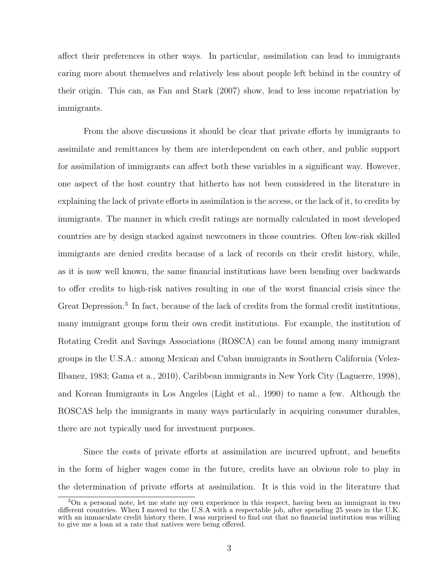affect their preferences in other ways. In particular, assimilation can lead to immigrants caring more about themselves and relatively less about people left behind in the country of their origin. This can, as Fan and Stark (2007) show, lead to less income repatriation by immigrants.

From the above discussions it should be clear that private efforts by immigrants to assimilate and remittances by them are interdependent on each other, and public support for assimilation of immigrants can affect both these variables in a significant way. However, one aspect of the host country that hitherto has not been considered in the literature in explaining the lack of private efforts in assimilation is the access, or the lack of it, to credits by immigrants. The manner in which credit ratings are normally calculated in most developed countries are by design stacked against newcomers in those countries. Often low-risk skilled immigrants are denied credits because of a lack of records on their credit history, while, as it is now well known, the same financial institutions have been bending over backwards to offer credits to high-risk natives resulting in one of the worst financial crisis since the Great Depression.<sup>3</sup> In fact, because of the lack of credits from the formal credit institutions, many immigrant groups form their own credit institutions. For example, the institution of Rotating Credit and Savings Associations (ROSCA) can be found among many immigrant groups in the U.S.A.: among Mexican and Cuban immigrants in Southern California (Velez-Ilbanez, 1983; Gama et a., 2010), Caribbean immigrants in New York City (Laguerre, 1998), and Korean Immigrants in Los Angeles (Light et al., 1990) to name a few. Although the ROSCAS help the immigrants in many ways particularly in acquiring consumer durables, there are not typically used for investment purposes.

Since the costs of private efforts at assimilation are incurred upfront, and benefits in the form of higher wages come in the future, credits have an obvious role to play in the determination of private efforts at assimilation. It is this void in the literature that

<sup>3</sup>On a personal note, let me state my own experience in this respect, having been an immigrant in two different countries. When I moved to the U.S.A with a respectable job, after spending 25 years in the U.K. with an immaculate credit history there, I was surprised to find out that no financial institution was willing to give me a loan at a rate that natives were being offered.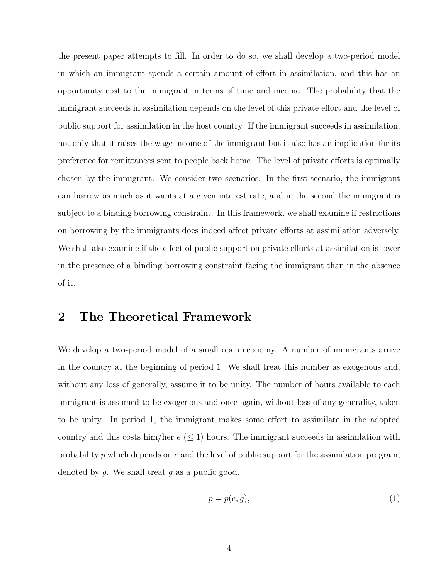the present paper attempts to fill. In order to do so, we shall develop a two-period model in which an immigrant spends a certain amount of effort in assimilation, and this has an opportunity cost to the immigrant in terms of time and income. The probability that the immigrant succeeds in assimilation depends on the level of this private effort and the level of public support for assimilation in the host country. If the immigrant succeeds in assimilation, not only that it raises the wage income of the immigrant but it also has an implication for its preference for remittances sent to people back home. The level of private efforts is optimally chosen by the immigrant. We consider two scenarios. In the first scenario, the immigrant can borrow as much as it wants at a given interest rate, and in the second the immigrant is subject to a binding borrowing constraint. In this framework, we shall examine if restrictions on borrowing by the immigrants does indeed affect private efforts at assimilation adversely. We shall also examine if the effect of public support on private efforts at assimilation is lower in the presence of a binding borrowing constraint facing the immigrant than in the absence of it.

## 2 The Theoretical Framework

We develop a two-period model of a small open economy. A number of immigrants arrive in the country at the beginning of period 1. We shall treat this number as exogenous and, without any loss of generally, assume it to be unity. The number of hours available to each immigrant is assumed to be exogenous and once again, without loss of any generality, taken to be unity. In period 1, the immigrant makes some effort to assimilate in the adopted country and this costs him/her  $e \leq 1$ ) hours. The immigrant succeeds in assimilation with probability p which depends on  $e$  and the level of public support for the assimilation program, denoted by  $q$ . We shall treat  $q$  as a public good.

$$
p = p(e, g),\tag{1}
$$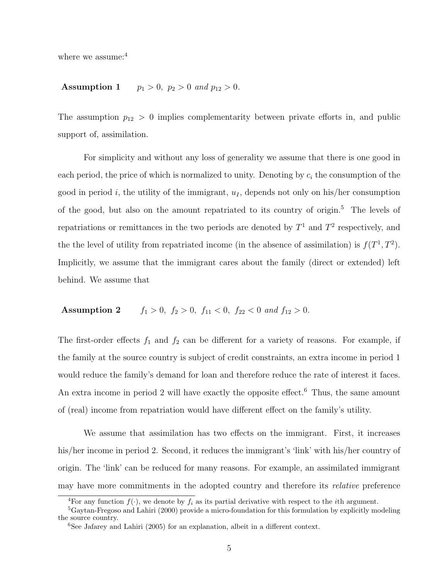where we assume:<sup>4</sup>

## Assumption 1  $p_1 > 0$ ,  $p_2 > 0$  and  $p_{12} > 0$ .

The assumption  $p_{12} > 0$  implies complementarity between private efforts in, and public support of, assimilation.

For simplicity and without any loss of generality we assume that there is one good in each period, the price of which is normalized to unity. Denoting by  $c_i$  the consumption of the good in period i, the utility of the immigrant,  $u_I$ , depends not only on his/her consumption of the good, but also on the amount repatriated to its country of origin.<sup>5</sup> The levels of repatriations or remittances in the two periods are denoted by  $T^1$  and  $T^2$  respectively, and the the level of utility from repatriated income (in the absence of assimilation) is  $f(T^1, T^2)$ . Implicitly, we assume that the immigrant cares about the family (direct or extended) left behind. We assume that

### Assumption 2  $f_1 > 0$ ,  $f_2 > 0$ ,  $f_{11} < 0$ ,  $f_{22} < 0$  and  $f_{12} > 0$ .

The first-order effects  $f_1$  and  $f_2$  can be different for a variety of reasons. For example, if the family at the source country is subject of credit constraints, an extra income in period 1 would reduce the family's demand for loan and therefore reduce the rate of interest it faces. An extra income in period 2 will have exactly the opposite effect.<sup>6</sup> Thus, the same amount of (real) income from repatriation would have different effect on the family's utility.

We assume that assimilation has two effects on the immigrant. First, it increases his/her income in period 2. Second, it reduces the immigrant's 'link' with his/her country of origin. The 'link' can be reduced for many reasons. For example, an assimilated immigrant may have more commitments in the adopted country and therefore its *relative* preference

<sup>&</sup>lt;sup>4</sup>For any function  $f(\cdot)$ , we denote by  $f_i$  as its partial derivative with respect to the *i*th argument.

<sup>5</sup>Gaytan-Fregoso and Lahiri (2000) provide a micro-foundation for this formulation by explicitly modeling the source country.

 ${}^{6}$ See Jafarey and Lahiri (2005) for an explanation, albeit in a different context.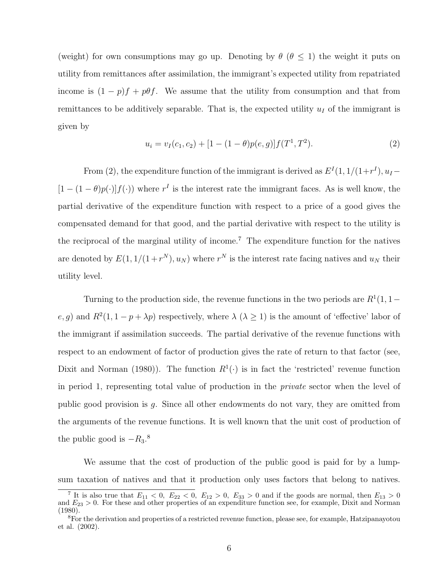(weight) for own consumptions may go up. Denoting by  $\theta$  ( $\theta \leq 1$ ) the weight it puts on utility from remittances after assimilation, the immigrant's expected utility from repatriated income is  $(1 - p)f + p\theta f$ . We assume that the utility from consumption and that from remittances to be additively separable. That is, the expected utility  $u_I$  of the immigrant is given by

$$
u_i = v_I(c_1, c_2) + [1 - (1 - \theta)p(e, g)]f(T^1, T^2).
$$
\n(2)

From (2), the expenditure function of the immigrant is derived as  $E^{I}(1,1/(1+r^{I}),u_{I} [1-(1-\theta)p(\cdot)]f(\cdot)$  where r<sup>I</sup> is the interest rate the immigrant faces. As is well know, the partial derivative of the expenditure function with respect to a price of a good gives the compensated demand for that good, and the partial derivative with respect to the utility is the reciprocal of the marginal utility of income.<sup>7</sup> The expenditure function for the natives are denoted by  $E(1, 1/(1+r^N), u_N)$  where  $r^N$  is the interest rate facing natives and  $u_N$  their utility level.

Turning to the production side, the revenue functions in the two periods are  $R^1(1, 1-\mathbb{R})$ e, g) and  $R^2(1, 1-p+\lambda p)$  respectively, where  $\lambda (\lambda \geq 1)$  is the amount of 'effective' labor of the immigrant if assimilation succeeds. The partial derivative of the revenue functions with respect to an endowment of factor of production gives the rate of return to that factor (see, Dixit and Norman (1980)). The function  $R^1(\cdot)$  is in fact the 'restricted' revenue function in period 1, representing total value of production in the private sector when the level of public good provision is g. Since all other endowments do not vary, they are omitted from the arguments of the revenue functions. It is well known that the unit cost of production of the public good is  $-R_3$ .<sup>8</sup>

We assume that the cost of production of the public good is paid for by a lumpsum taxation of natives and that it production only uses factors that belong to natives.

<sup>&</sup>lt;sup>7</sup> It is also true that  $E_{11} < 0$ ,  $E_{22} < 0$ ,  $E_{12} > 0$ ,  $E_{33} > 0$  and if the goods are normal, then  $E_{13} > 0$ and  $E_{23} > 0$ . For these and other properties of an expenditure function see, for example, Dixit and Norman (1980).

<sup>&</sup>lt;sup>8</sup>For the derivation and properties of a restricted revenue function, please see, for example, Hatzipanayotou et al. (2002).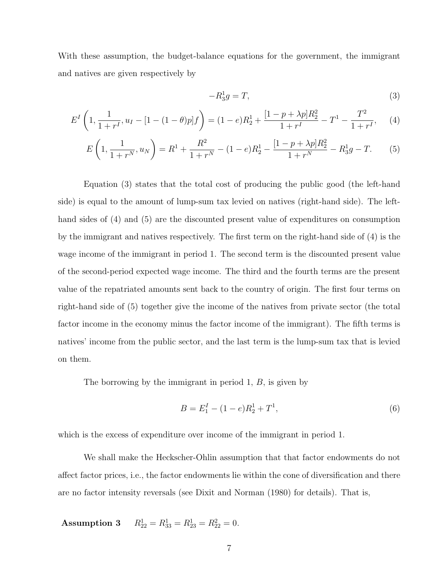With these assumption, the budget-balance equations for the government, the immigrant and natives are given respectively by

$$
-R_3^1 g = T,\t\t(3)
$$

$$
E^{I}\left(1, \frac{1}{1+r^{I}}, u_{I} - [1-(1-\theta)p]f\right) = (1-e)R_{2}^{1} + \frac{[1-p+\lambda p]R_{2}^{2}}{1+r^{I}} - T^{1} - \frac{T^{2}}{1+r^{I}}, \quad (4)
$$

$$
E\left(1, \frac{1}{1+r^N}, u_N\right) = R^1 + \frac{R^2}{1+r^N} - (1-e)R_2^1 - \frac{[1-p+\lambda p]R_2^2}{1+r^N} - R_3^1g - T.
$$
 (5)

Equation (3) states that the total cost of producing the public good (the left-hand side) is equal to the amount of lump-sum tax levied on natives (right-hand side). The lefthand sides of (4) and (5) are the discounted present value of expenditures on consumption by the immigrant and natives respectively. The first term on the right-hand side of (4) is the wage income of the immigrant in period 1. The second term is the discounted present value of the second-period expected wage income. The third and the fourth terms are the present value of the repatriated amounts sent back to the country of origin. The first four terms on right-hand side of (5) together give the income of the natives from private sector (the total factor income in the economy minus the factor income of the immigrant). The fifth terms is natives' income from the public sector, and the last term is the lump-sum tax that is levied on them.

The borrowing by the immigrant in period 1, B, is given by

$$
B = E_1^I - (1 - e)R_2^1 + T^1,\tag{6}
$$

which is the excess of expenditure over income of the immigrant in period 1.

We shall make the Heckscher-Ohlin assumption that that factor endowments do not affect factor prices, i.e., the factor endowments lie within the cone of diversification and there are no factor intensity reversals (see Dixit and Norman (1980) for details). That is,

Assumption 3  $R_{22}^1 = R_{33}^1 = R_{23}^1 = R_{22}^2 = 0$ .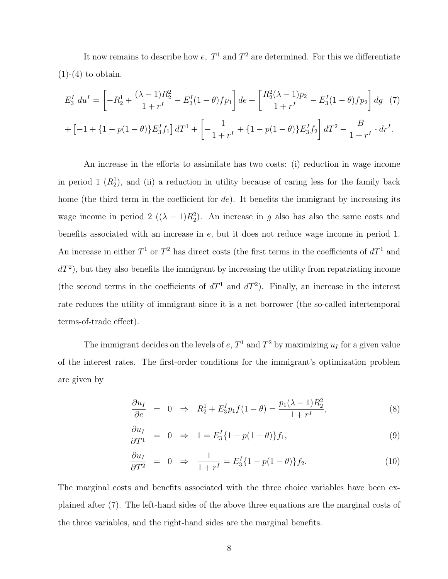It now remains to describe how  $e$ ,  $T^1$  and  $T^2$  are determined. For this we differentiate  $(1)-(4)$  to obtain.

$$
E_3^I du^I = \left[ -R_2^1 + \frac{(\lambda - 1)R_2^2}{1 + r^I} - E_3^I (1 - \theta) f p_1 \right] de + \left[ \frac{R_2^2 (\lambda - 1) p_2}{1 + r^I} - E_3^I (1 - \theta) f p_2 \right] dg
$$
 (7)  
+ 
$$
\left[ -1 + \{1 - p(1 - \theta)\} E_3^I f_1 \right] dT^1 + \left[ -\frac{1}{1 + r^I} + \{1 - p(1 - \theta)\} E_3^I f_2 \right] dT^2 - \frac{B}{1 + r^I} \cdot dr^I.
$$

An increase in the efforts to assimilate has two costs: (i) reduction in wage income in period 1  $(R_2^1)$ , and (ii) a reduction in utility because of caring less for the family back home (the third term in the coefficient for  $de$ ). It benefits the immigrant by increasing its wage income in period 2  $((\lambda - 1)R_2^2)$ . An increase in g also has also the same costs and benefits associated with an increase in e, but it does not reduce wage income in period 1. An increase in either  $T^1$  or  $T^2$  has direct costs (the first terms in the coefficients of  $dT^1$  and  $dT<sup>2</sup>$ ), but they also benefits the immigrant by increasing the utility from repatriating income (the second terms in the coefficients of  $dT^1$  and  $dT^2$ ). Finally, an increase in the interest rate reduces the utility of immigrant since it is a net borrower (the so-called intertemporal terms-of-trade effect).

The immigrant decides on the levels of  $e$ ,  $T^1$  and  $T^2$  by maximizing  $u_I$  for a given value of the interest rates. The first-order conditions for the immigrant's optimization problem are given by

$$
\frac{\partial u_I}{\partial e} = 0 \Rightarrow R_2^1 + E_3^I p_1 f (1 - \theta) = \frac{p_1 (\lambda - 1) R_2^2}{1 + r^I},
$$
\n(8)

$$
\frac{\partial u_I}{\partial T^1} = 0 \Rightarrow 1 = E_3^I \{ 1 - p(1 - \theta) \} f_1,\tag{9}
$$

$$
\frac{\partial u_I}{\partial T^2} = 0 \Rightarrow \frac{1}{1+r^I} = E_3^I \{ 1 - p(1-\theta) \} f_2. \tag{10}
$$

The marginal costs and benefits associated with the three choice variables have been explained after (7). The left-hand sides of the above three equations are the marginal costs of the three variables, and the right-hand sides are the marginal benefits.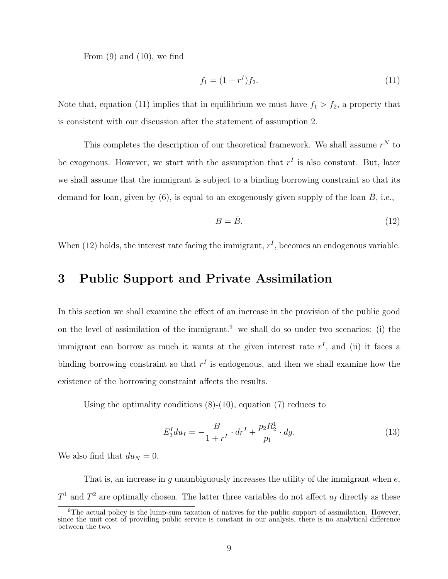From  $(9)$  and  $(10)$ , we find

$$
f_1 = (1 + r^I)f_2. \tag{11}
$$

Note that, equation (11) implies that in equilibrium we must have  $f_1 > f_2$ , a property that is consistent with our discussion after the statement of assumption 2.

This completes the description of our theoretical framework. We shall assume  $r^N$  to be exogenous. However, we start with the assumption that  $r<sup>I</sup>$  is also constant. But, later we shall assume that the immigrant is subject to a binding borrowing constraint so that its demand for loan, given by (6), is equal to an exogenously given supply of the loan  $\overline{B}$ , i.e.,

$$
B = \bar{B}.\tag{12}
$$

When  $(12)$  holds, the interest rate facing the immigrant,  $r<sup>I</sup>$ , becomes an endogenous variable.

## 3 Public Support and Private Assimilation

In this section we shall examine the effect of an increase in the provision of the public good on the level of assimilation of the immigrant.<sup>9</sup> we shall do so under two scenarios: (i) the immigrant can borrow as much it wants at the given interest rate  $r<sup>I</sup>$ , and (ii) it faces a binding borrowing constraint so that  $r<sup>I</sup>$  is endogenous, and then we shall examine how the existence of the borrowing constraint affects the results.

Using the optimality conditions  $(8)-(10)$ , equation  $(7)$  reduces to

$$
E_3^I du_I = -\frac{B}{1+r^I} \cdot dr^I + \frac{p_2 R_2^1}{p_1} \cdot dg. \tag{13}
$$

We also find that  $du_N = 0$ .

That is, an increase in q unambiguously increases the utility of the immigrant when  $e$ ,  $T^1$  and  $T^2$  are optimally chosen. The latter three variables do not affect  $u_I$  directly as these

 $9$ The actual policy is the lump-sum taxation of natives for the public support of assimilation. However, since the unit cost of providing public service is constant in our analysis, there is no analytical difference between the two.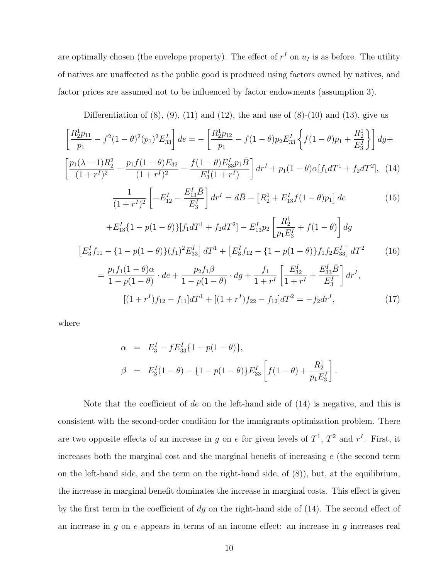are optimally chosen (the envelope property). The effect of  $r<sup>I</sup>$  on  $u<sub>I</sub>$  is as before. The utility of natives are unaffected as the public good is produced using factors owned by natives, and factor prices are assumed not to be influenced by factor endowments (assumption 3).

Differentiation of  $(8)$ ,  $(9)$ ,  $(11)$  and  $(12)$ , the and use of  $(8)-(10)$  and  $(13)$ , give us  $R_2^1p_{11}$  $p_1$  $-f^2(1-\theta)^2(p_1)^2E_{33}^I\bigg]\,de = R_2^1p_{12}$  $p_1$  $-f(1-\theta)p_2E_{33}^I\left\{f(1-\theta)p_1+\right.$  $R_2^1$  $E_3^I$  $\left[\begin{array}{c} 1 \end{array}\right]$  dg+  $\lceil p_1(\lambda-1)R_2^2\rceil$  $\frac{p_1(\lambda-1)R_2^2}{(1+r^I)^2} - \frac{p_1f(1-\theta)E_{32}}{(1+r^I)^2}$  $\frac{f(1-\theta)E_{32}}{(1+r^I)^2} - \frac{f(1-\theta)E_{33}^I p_1 \bar{B}}{E_3^I (1+r^I)}$  $E_3^I(1+r^I)$  $\int dr^{I} + p_{1}(1-\theta)\alpha[f_{1}dT^{1} + f_{2}dT^{2}]$  $(14)$ 1  $(1 + r^I)^2$  $\sqrt{ }$  $-E^{I}_{12}-\frac{E^{I}_{13}\bar{B}}{F^{I}}$  $E_3^I$  $\left] dr^{I} = d\bar{B} - \left[ R_{2}^{1} + E_{13}^{I} f(1-\theta) p_{1} \right]$  $(15)$  $+E_{13}^I\{1-p(1-\theta)\}[f_1dT^1+f_2dT^2]-E_{13}^I p_2$  $\left[ R_2^1 \right]$  $p_1E_3^I$  $+ f(1-\theta)$ 1 dg  $\left[ E_3^I f_{11} - \left\{ 1 - p(1-\theta) \right\} (f_1)^2 E_{33}^I \right] dT^1 + \left[ E_3^I f_{12} - \left\{ 1 - p(1-\theta) \right\} f_1 f_2 E_{33}^I \right] dT^2$ (16)  $=\frac{p_1f_1(1-\theta)\alpha}{\frac{1}{2}(\alpha-\alpha)}$  $1-p(1-\theta)$  $\cdot$  de +  $\frac{p_2f_1\beta}{1}$  $1-p(1-\theta)$  $\cdot$  dg +  $\frac{f_1}{1}$  $1 + r^I$  $\left[ \begin{array}{c} E_{32}^I \end{array} \right]$  $\frac{1}{1+r^I} +$  $E_{33}^I\bar{B}$  $E_3^I$  $\Big] dr^I,$  $[(1+r^I)f_{12}-f_{11}]dT^1+[(1+r^I)f_{22}-f_{12}]dT^2=-f_2dr^I$  $(17)$ 

where

$$
\alpha = E_3^I - fE_{33}^I \{ 1 - p(1 - \theta) \},
$$
  
\n
$$
\beta = E_3^I (1 - \theta) - \{ 1 - p(1 - \theta) \} E_{33}^I \left[ f(1 - \theta) + \frac{R_2^1}{p_1 E_3^I} \right].
$$

Note that the coefficient of de on the left-hand side of  $(14)$  is negative, and this is consistent with the second-order condition for the immigrants optimization problem. There are two opposite effects of an increase in g on e for given levels of  $T^1$ ,  $T^2$  and  $r^I$ . First, it increases both the marginal cost and the marginal benefit of increasing e (the second term on the left-hand side, and the term on the right-hand side, of (8)), but, at the equilibrium, the increase in marginal benefit dominates the increase in marginal costs. This effect is given by the first term in the coefficient of  $dg$  on the right-hand side of  $(14)$ . The second effect of an increase in g on e appears in terms of an income effect: an increase in g increases real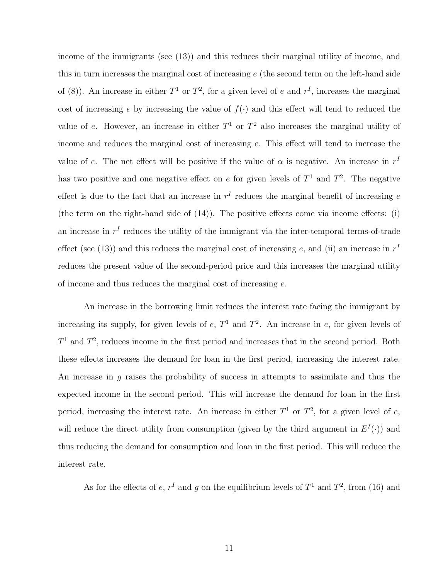income of the immigrants (see (13)) and this reduces their marginal utility of income, and this in turn increases the marginal cost of increasing e (the second term on the left-hand side of (8)). An increase in either  $T^1$  or  $T^2$ , for a given level of e and  $r^I$ , increases the marginal cost of increasing e by increasing the value of  $f(.)$  and this effect will tend to reduced the value of e. However, an increase in either  $T^1$  or  $T^2$  also increases the marginal utility of income and reduces the marginal cost of increasing e. This effect will tend to increase the value of e. The net effect will be positive if the value of  $\alpha$  is negative. An increase in  $r<sup>I</sup>$ has two positive and one negative effect on e for given levels of  $T^1$  and  $T^2$ . The negative effect is due to the fact that an increase in  $r<sup>I</sup>$  reduces the marginal benefit of increasing e (the term on the right-hand side of  $(14)$ ). The positive effects come via income effects: (i) an increase in  $r<sup>I</sup>$  reduces the utility of the immigrant via the inter-temporal terms-of-trade effect (see (13)) and this reduces the marginal cost of increasing e, and (ii) an increase in  $r<sup>I</sup>$ reduces the present value of the second-period price and this increases the marginal utility of income and thus reduces the marginal cost of increasing e.

An increase in the borrowing limit reduces the interest rate facing the immigrant by increasing its supply, for given levels of  $e$ ,  $T<sup>1</sup>$  and  $T<sup>2</sup>$ . An increase in  $e$ , for given levels of  $T<sup>1</sup>$  and  $T<sup>2</sup>$ , reduces income in the first period and increases that in the second period. Both these effects increases the demand for loan in the first period, increasing the interest rate. An increase in g raises the probability of success in attempts to assimilate and thus the expected income in the second period. This will increase the demand for loan in the first period, increasing the interest rate. An increase in either  $T^1$  or  $T^2$ , for a given level of e, will reduce the direct utility from consumption (given by the third argument in  $E^I(\cdot)$ ) and thus reducing the demand for consumption and loan in the first period. This will reduce the interest rate.

As for the effects of e,  $r<sup>I</sup>$  and g on the equilibrium levels of  $T<sup>1</sup>$  and  $T<sup>2</sup>$ , from (16) and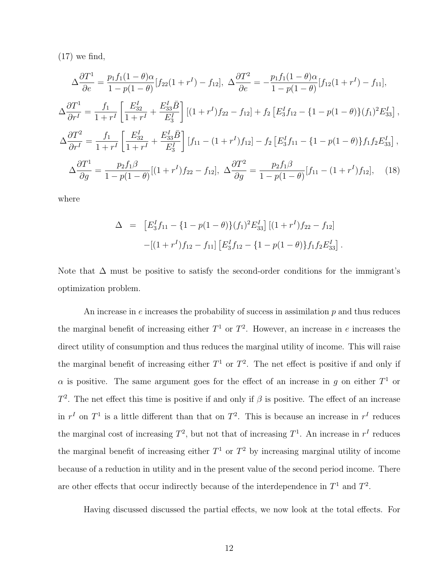$(17)$  we find,

$$
\Delta \frac{\partial T^1}{\partial e} = \frac{p_1 f_1 (1 - \theta) \alpha}{1 - p(1 - \theta)} [f_{22}(1 + r^I) - f_{12}], \quad \Delta \frac{\partial T^2}{\partial e} = -\frac{p_1 f_1 (1 - \theta) \alpha}{1 - p(1 - \theta)} [f_{12}(1 + r^I) - f_{11}],
$$
  
\n
$$
\Delta \frac{\partial T^1}{\partial r^I} = \frac{f_1}{1 + r^I} \left[ \frac{E_{32}^I}{1 + r^I} + \frac{E_{33}^I \bar{B}}{E_3^I} \right] [(1 + r^I) f_{22} - f_{12}] + f_2 \left[ E_3^I f_{12} - \{1 - p(1 - \theta)\} (f_1)^2 E_{33}^I \right],
$$
  
\n
$$
\Delta \frac{\partial T^2}{\partial r^I} = \frac{f_1}{1 + r^I} \left[ \frac{E_{32}^I}{1 + r^I} + \frac{E_{33}^I \bar{B}}{E_3^I} \right] [f_{11} - (1 + r^I) f_{12}] - f_2 \left[ E_3^I f_{11} - \{1 - p(1 - \theta)\} f_1 f_2 E_{33}^I \right],
$$
  
\n
$$
\Delta \frac{\partial T^1}{\partial g} = \frac{p_2 f_1 \beta}{1 - p(1 - \theta)} [(1 + r^I) f_{22} - f_{12}], \quad \Delta \frac{\partial T^2}{\partial g} = \frac{p_2 f_1 \beta}{1 - p(1 - \theta)} [f_{11} - (1 + r^I) f_{12}], \quad (18)
$$

where

$$
\Delta = \left[ E_3^I f_{11} - \{ 1 - p(1 - \theta) \} (f_1)^2 E_{33}^I \right] \left[ (1 + r^I) f_{22} - f_{12} \right]
$$

$$
- \left[ (1 + r^I) f_{12} - f_{11} \right] \left[ E_3^I f_{12} - \{ 1 - p(1 - \theta) \} f_1 f_2 E_{33}^I \right].
$$

Note that  $\Delta$  must be positive to satisfy the second-order conditions for the immigrant's optimization problem.

An increase in  $e$  increases the probability of success in assimilation  $p$  and thus reduces the marginal benefit of increasing either  $T^1$  or  $T^2$ . However, an increase in e increases the direct utility of consumption and thus reduces the marginal utility of income. This will raise the marginal benefit of increasing either  $T^1$  or  $T^2$ . The net effect is positive if and only if  $\alpha$  is positive. The same argument goes for the effect of an increase in g on either  $T^1$  or  $T^2$ . The net effect this time is positive if and only if  $\beta$  is positive. The effect of an increase in  $r<sup>I</sup>$  on  $T<sup>1</sup>$  is a little different than that on  $T<sup>2</sup>$ . This is because an increase in  $r<sup>I</sup>$  reduces the marginal cost of increasing  $T^2$ , but not that of increasing  $T^1$ . An increase in  $r^I$  reduces the marginal benefit of increasing either  $T^1$  or  $T^2$  by increasing marginal utility of income because of a reduction in utility and in the present value of the second period income. There are other effects that occur indirectly because of the interdependence in  $T^1$  and  $T^2$ .

Having discussed discussed the partial effects, we now look at the total effects. For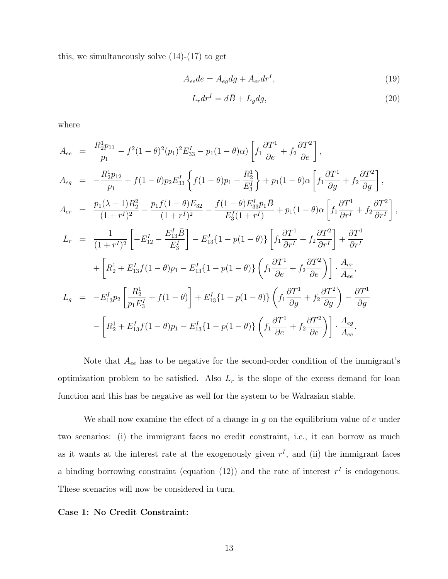this, we simultaneously solve  $(14)-(17)$  to get

$$
A_{ee}de = A_{eg}dg + A_{er}dr^I,
$$
\n(19)

$$
L_r dr^I = d\bar{B} + L_g dg,\t\t(20)
$$

where

$$
A_{ee} = \frac{R_2^1 p_{11}}{p_1} - f^2 (1 - \theta)^2 (p_1)^2 E_{33}^I - p_1 (1 - \theta) \alpha) \left[ f_1 \frac{\partial T^1}{\partial e} + f_2 \frac{\partial T^2}{\partial e} \right],
$$
  
\n
$$
A_{eg} = -\frac{R_2^1 p_{12}}{p_1} + f (1 - \theta) p_2 E_{33}^I \left\{ f (1 - \theta) p_1 + \frac{R_2^1}{E_3^I} \right\} + p_1 (1 - \theta) \alpha \left[ f_1 \frac{\partial T^1}{\partial g} + f_2 \frac{\partial T^2}{\partial g} \right],
$$
  
\n
$$
A_{er} = \frac{p_1 (\lambda - 1) R_2^2}{(1 + r')^2} - \frac{p_1 f (1 - \theta) E_{32}}{(1 + r')^2} - \frac{f (1 - \theta) E_{33}^I p_1 \bar{B}}{E_3^I (1 + r')^I} + p_1 (1 - \theta) \alpha \left[ f_1 \frac{\partial T^1}{\partial r^I} + f_2 \frac{\partial T^2}{\partial r^I} \right],
$$
  
\n
$$
L_r = \frac{1}{(1 + r')^2} \left[ -E_{12}^I - \frac{E_{13}^I \bar{B}}{E_3^I} \right] - E_{13}^I \{ 1 - p (1 - \theta) \} \left[ f_1 \frac{\partial T^1}{\partial r^I} + f_2 \frac{\partial T^2}{\partial r^I} \right] + \frac{\partial T^1}{\partial r^I}
$$
  
\n
$$
+ \left[ R_2^1 + E_{13}^I f (1 - \theta) p_1 - E_{13}^I \{ 1 - p (1 - \theta) \} \left( f_1 \frac{\partial T^1}{\partial e} + f_2 \frac{\partial T^2}{\partial e} \right) \right] \cdot \frac{A_{er}}{A_{ee}},
$$
  
\n
$$
L_g = -E_{13}^I p_2 \left[ \frac{R_2^1}{p_1 E_3^I} + f (1 - \theta) \right] + E_{13}^I \{ 1 - p (1 - \theta) \} \left( f_1 \frac{\partial T^1}{\partial g} + f_2 \frac{\
$$

Note that  $A_{ee}$  has to be negative for the second-order condition of the immigrant's optimization problem to be satisfied. Also  $L_r$  is the slope of the excess demand for loan function and this has be negative as well for the system to be Walrasian stable.

We shall now examine the effect of a change in  $g$  on the equilibrium value of  $e$  under two scenarios: (i) the immigrant faces no credit constraint, i.e., it can borrow as much as it wants at the interest rate at the exogenously given  $r<sup>I</sup>$ , and (ii) the immigrant faces a binding borrowing constraint (equation (12)) and the rate of interest  $r<sup>I</sup>$  is endogenous. These scenarios will now be considered in turn.

### Case 1: No Credit Constraint: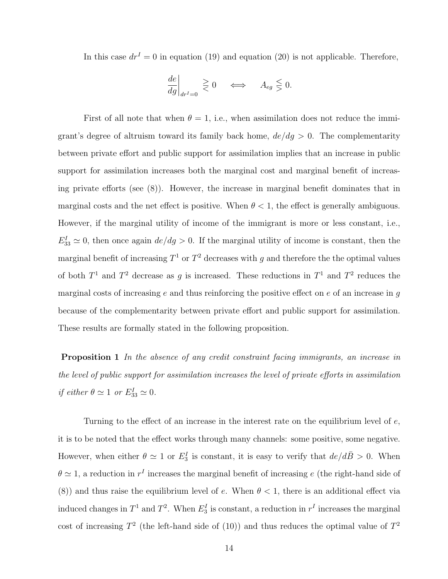In this case  $dr^I = 0$  in equation (19) and equation (20) is not applicable. Therefore,

$$
\left. \frac{de}{dg} \right|_{dr^I=0} \geq 0 \quad \iff \quad A_{eg} \leq 0.
$$

First of all note that when  $\theta = 1$ , i.e., when assimilation does not reduce the immigrant's degree of altruism toward its family back home,  $de/dg > 0$ . The complementarity between private effort and public support for assimilation implies that an increase in public support for assimilation increases both the marginal cost and marginal benefit of increasing private efforts (see (8)). However, the increase in marginal benefit dominates that in marginal costs and the net effect is positive. When  $\theta < 1$ , the effect is generally ambiguous. However, if the marginal utility of income of the immigrant is more or less constant, i.e.,  $E_{33}^I \simeq 0$ , then once again  $de/dg > 0$ . If the marginal utility of income is constant, then the marginal benefit of increasing  $T^1$  or  $T^2$  decreases with g and therefore the the optimal values of both  $T^1$  and  $T^2$  decrease as g is increased. These reductions in  $T^1$  and  $T^2$  reduces the marginal costs of increasing  $e$  and thus reinforcing the positive effect on  $e$  of an increase in  $g$ because of the complementarity between private effort and public support for assimilation. These results are formally stated in the following proposition.

Proposition 1 In the absence of any credit constraint facing immigrants, an increase in the level of public support for assimilation increases the level of private efforts in assimilation if either  $\theta \simeq 1$  or  $E_{33}^I \simeq 0$ .

Turning to the effect of an increase in the interest rate on the equilibrium level of e, it is to be noted that the effect works through many channels: some positive, some negative. However, when either  $\theta \simeq 1$  or  $E_3^I$  is constant, it is easy to verify that  $de/d\bar{B} > 0$ . When  $\theta \simeq 1$ , a reduction in  $r<sup>I</sup>$  increases the marginal benefit of increasing e (the right-hand side of (8)) and thus raise the equilibrium level of e. When  $\theta < 1$ , there is an additional effect via induced changes in  $T^1$  and  $T^2$ . When  $E_3^I$  is constant, a reduction in  $r^I$  increases the marginal cost of increasing  $T^2$  (the left-hand side of (10)) and thus reduces the optimal value of  $T^2$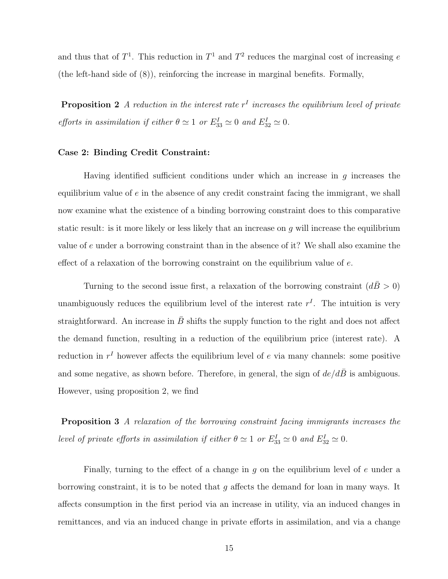and thus that of  $T^1$ . This reduction in  $T^1$  and  $T^2$  reduces the marginal cost of increasing e (the left-hand side of (8)), reinforcing the increase in marginal benefits. Formally,

**Proposition 2** A reduction in the interest rate  $r<sup>I</sup>$  increases the equilibrium level of private efforts in assimilation if either  $\theta \simeq 1$  or  $E_{33}^I \simeq 0$  and  $E_{32}^I \simeq 0$ .

#### Case 2: Binding Credit Constraint:

Having identified sufficient conditions under which an increase in g increases the equilibrium value of  $e$  in the absence of any credit constraint facing the immigrant, we shall now examine what the existence of a binding borrowing constraint does to this comparative static result: is it more likely or less likely that an increase on g will increase the equilibrium value of e under a borrowing constraint than in the absence of it? We shall also examine the effect of a relaxation of the borrowing constraint on the equilibrium value of  $e$ .

Turning to the second issue first, a relaxation of the borrowing constraint  $(d\bar{B} > 0)$ unambiguously reduces the equilibrium level of the interest rate  $r<sup>I</sup>$ . The intuition is very straightforward. An increase in  $\bar{B}$  shifts the supply function to the right and does not affect the demand function, resulting in a reduction of the equilibrium price (interest rate). A reduction in  $r<sup>I</sup>$  however affects the equilibrium level of e via many channels: some positive and some negative, as shown before. Therefore, in general, the sign of  $de/d\bar{B}$  is ambiguous. However, using proposition 2, we find

**Proposition 3** A relaxation of the borrowing constraint facing immigrants increases the level of private efforts in assimilation if either  $\theta \simeq 1$  or  $E_{33}^I \simeq 0$  and  $E_{32}^I \simeq 0$ .

Finally, turning to the effect of a change in g on the equilibrium level of e under a borrowing constraint, it is to be noted that  $g$  affects the demand for loan in many ways. It affects consumption in the first period via an increase in utility, via an induced changes in remittances, and via an induced change in private efforts in assimilation, and via a change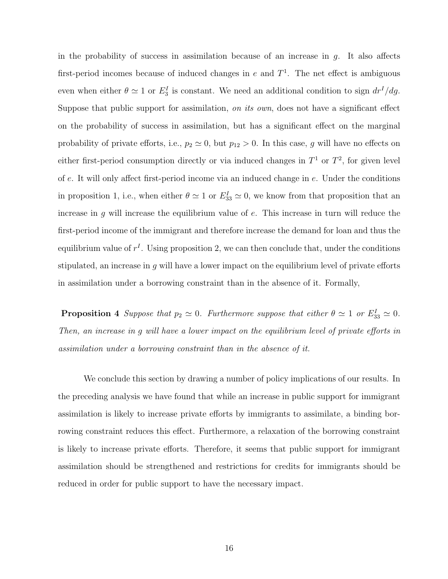in the probability of success in assimilation because of an increase in  $g$ . It also affects first-period incomes because of induced changes in e and  $T<sup>1</sup>$ . The net effect is ambiguous even when either  $\theta \simeq 1$  or  $E_3^I$  is constant. We need an additional condition to sign  $dr^I/dg$ . Suppose that public support for assimilation, on its own, does not have a significant effect on the probability of success in assimilation, but has a significant effect on the marginal probability of private efforts, i.e.,  $p_2 \simeq 0$ , but  $p_{12} > 0$ . In this case, g will have no effects on either first-period consumption directly or via induced changes in  $T^1$  or  $T^2$ , for given level of e. It will only affect first-period income via an induced change in e. Under the conditions in proposition 1, i.e., when either  $\theta \simeq 1$  or  $E_{33}^I \simeq 0$ , we know from that proposition that an increase in g will increase the equilibrium value of  $e$ . This increase in turn will reduce the first-period income of the immigrant and therefore increase the demand for loan and thus the equilibrium value of  $r<sup>I</sup>$ . Using proposition 2, we can then conclude that, under the conditions stipulated, an increase in  $g$  will have a lower impact on the equilibrium level of private efforts in assimilation under a borrowing constraint than in the absence of it. Formally,

**Proposition 4** Suppose that  $p_2 \simeq 0$ . Furthermore suppose that either  $\theta \simeq 1$  or  $E_{33}^I \simeq 0$ . Then, an increase in g will have a lower impact on the equilibrium level of private efforts in assimilation under a borrowing constraint than in the absence of it.

We conclude this section by drawing a number of policy implications of our results. In the preceding analysis we have found that while an increase in public support for immigrant assimilation is likely to increase private efforts by immigrants to assimilate, a binding borrowing constraint reduces this effect. Furthermore, a relaxation of the borrowing constraint is likely to increase private efforts. Therefore, it seems that public support for immigrant assimilation should be strengthened and restrictions for credits for immigrants should be reduced in order for public support to have the necessary impact.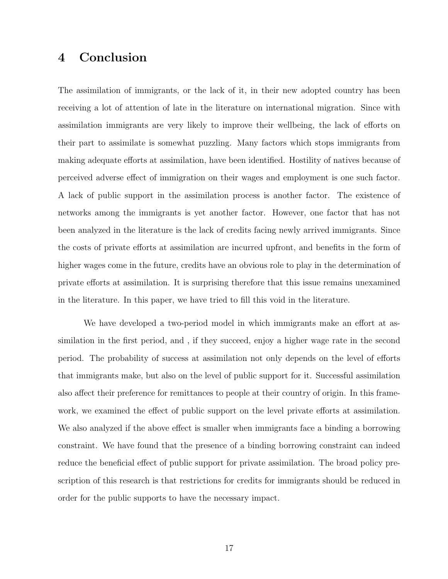# 4 Conclusion

The assimilation of immigrants, or the lack of it, in their new adopted country has been receiving a lot of attention of late in the literature on international migration. Since with assimilation immigrants are very likely to improve their wellbeing, the lack of efforts on their part to assimilate is somewhat puzzling. Many factors which stops immigrants from making adequate efforts at assimilation, have been identified. Hostility of natives because of perceived adverse effect of immigration on their wages and employment is one such factor. A lack of public support in the assimilation process is another factor. The existence of networks among the immigrants is yet another factor. However, one factor that has not been analyzed in the literature is the lack of credits facing newly arrived immigrants. Since the costs of private efforts at assimilation are incurred upfront, and benefits in the form of higher wages come in the future, credits have an obvious role to play in the determination of private efforts at assimilation. It is surprising therefore that this issue remains unexamined in the literature. In this paper, we have tried to fill this void in the literature.

We have developed a two-period model in which immigrants make an effort at assimilation in the first period, and , if they succeed, enjoy a higher wage rate in the second period. The probability of success at assimilation not only depends on the level of efforts that immigrants make, but also on the level of public support for it. Successful assimilation also affect their preference for remittances to people at their country of origin. In this framework, we examined the effect of public support on the level private efforts at assimilation. We also analyzed if the above effect is smaller when immigrants face a binding a borrowing constraint. We have found that the presence of a binding borrowing constraint can indeed reduce the beneficial effect of public support for private assimilation. The broad policy prescription of this research is that restrictions for credits for immigrants should be reduced in order for the public supports to have the necessary impact.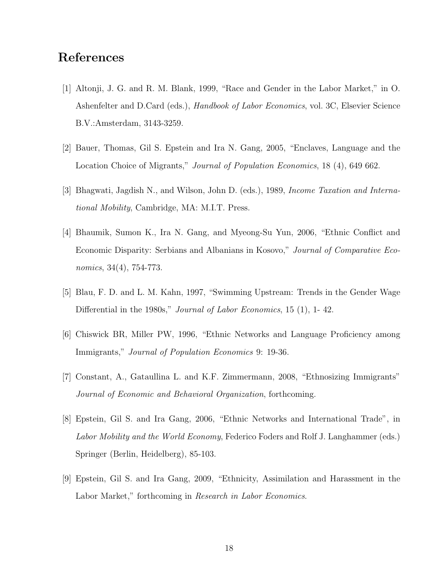# References

- [1] Altonji, J. G. and R. M. Blank, 1999, "Race and Gender in the Labor Market," in O. Ashenfelter and D.Card (eds.), Handbook of Labor Economics, vol. 3C, Elsevier Science B.V.:Amsterdam, 3143-3259.
- [2] Bauer, Thomas, Gil S. Epstein and Ira N. Gang, 2005, "Enclaves, Language and the Location Choice of Migrants," Journal of Population Economics, 18 (4), 649 662.
- [3] Bhagwati, Jagdish N., and Wilson, John D. (eds.), 1989, Income Taxation and International Mobility, Cambridge, MA: M.I.T. Press.
- [4] Bhaumik, Sumon K., Ira N. Gang, and Myeong-Su Yun, 2006, "Ethnic Conflict and Economic Disparity: Serbians and Albanians in Kosovo," Journal of Comparative Economics,  $34(4)$ ,  $754-773$ .
- [5] Blau, F. D. and L. M. Kahn, 1997, "Swimming Upstream: Trends in the Gender Wage Differential in the 1980s," *Journal of Labor Economics*, 15 (1), 1-42.
- [6] Chiswick BR, Miller PW, 1996, "Ethnic Networks and Language Proficiency among Immigrants," Journal of Population Economics 9: 19-36.
- [7] Constant, A., Gataullina L. and K.F. Zimmermann, 2008, "Ethnosizing Immigrants" Journal of Economic and Behavioral Organization, forthcoming.
- [8] Epstein, Gil S. and Ira Gang, 2006, "Ethnic Networks and International Trade", in Labor Mobility and the World Economy, Federico Foders and Rolf J. Langhammer (eds.) Springer (Berlin, Heidelberg), 85-103.
- [9] Epstein, Gil S. and Ira Gang, 2009, "Ethnicity, Assimilation and Harassment in the Labor Market," forthcoming in *Research in Labor Economics*.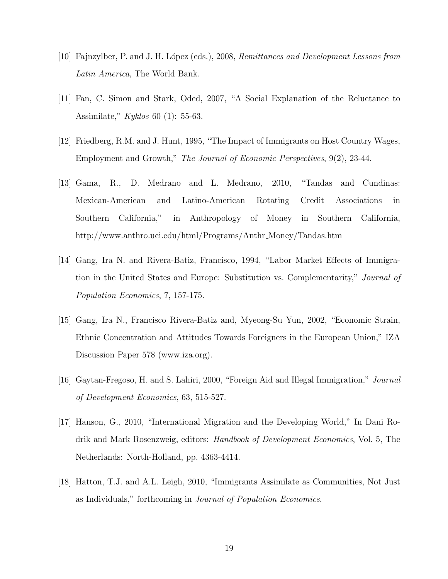- [10] Fajnzylber, P. and J. H. L´opez (eds.), 2008, Remittances and Development Lessons from Latin America, The World Bank.
- [11] Fan, C. Simon and Stark, Oded, 2007, "A Social Explanation of the Reluctance to Assimilate," Kyklos 60 (1): 55-63.
- [12] Friedberg, R.M. and J. Hunt, 1995, "The Impact of Immigrants on Host Country Wages, Employment and Growth," The Journal of Economic Perspectives, 9(2), 23-44.
- [13] Gama, R., D. Medrano and L. Medrano, 2010, "Tandas and Cundinas: Mexican-American and Latino-American Rotating Credit Associations in Southern California," in Anthropology of Money in Southern California, http://www.anthro.uci.edu/html/Programs/Anthr\_Money/Tandas.htm
- [14] Gang, Ira N. and Rivera-Batiz, Francisco, 1994, "Labor Market Effects of Immigration in the United States and Europe: Substitution vs. Complementarity," Journal of Population Economics, 7, 157-175.
- [15] Gang, Ira N., Francisco Rivera-Batiz and, Myeong-Su Yun, 2002, "Economic Strain, Ethnic Concentration and Attitudes Towards Foreigners in the European Union," IZA Discussion Paper 578 (www.iza.org).
- [16] Gaytan-Fregoso, H. and S. Lahiri, 2000, "Foreign Aid and Illegal Immigration," Journal of Development Economics, 63, 515-527.
- [17] Hanson, G., 2010, "International Migration and the Developing World," In Dani Rodrik and Mark Rosenzweig, editors: Handbook of Development Economics, Vol. 5, The Netherlands: North-Holland, pp. 4363-4414.
- [18] Hatton, T.J. and A.L. Leigh, 2010, "Immigrants Assimilate as Communities, Not Just as Individuals," forthcoming in Journal of Population Economics.